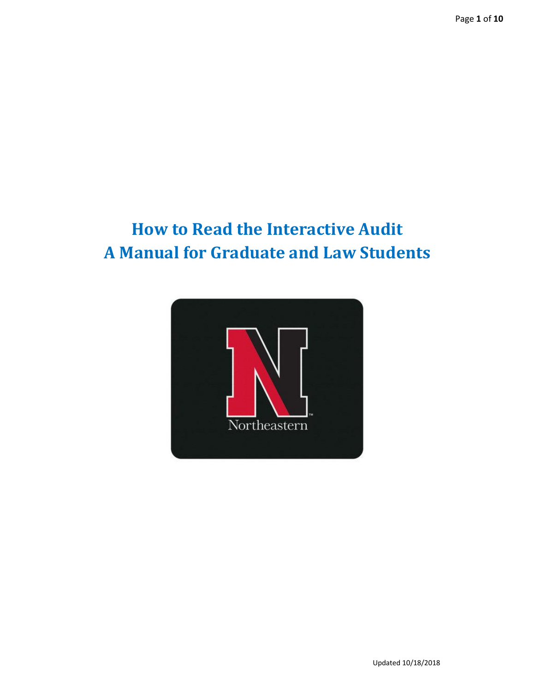# **How to Read the Interactive Audit A Manual for Graduate and Law Students**

<span id="page-0-0"></span>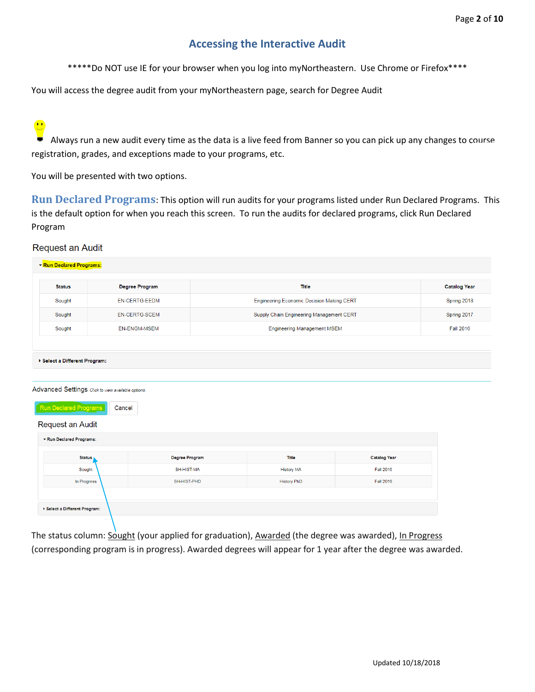# **[Accessing the Interactive Audit](#page-0-0)**

\*\*\*\*\*Do NOT use IE for your browser when you log into myNortheastern. Use Chrome or Firefox\*\*\*\*

You will access the degree audit from your myNortheastern page, search for Degree Audit

# Always run a new audit every time as the data is a live feed from Banner so you can pick up any changes to course registration, grades, and exceptions made to your programs, etc.

You will be presented with two options.

**Run Declared Programs**: This option will run audits for your programs listed under Run Declared Programs. This is the default option for when you reach this screen. To run the audits for declared programs, click Run Declared Program

Request an Audit

 $\overline{\mathbf{C}}$ 

|                                           | ▼ Run Declared Programs:                                     |                |                                           |                     |                  |
|-------------------------------------------|--------------------------------------------------------------|----------------|-------------------------------------------|---------------------|------------------|
| <b>Status</b>                             | Degree Program                                               |                | <b>Title</b>                              |                     |                  |
| Sought                                    | <b>EN-CERTG-EEDM</b>                                         |                | Engineering Economic Decision Making CERT |                     | Spring 2018      |
| Sought                                    | EN-CERTG-SCEM                                                |                | Supply Chain Engineering Management CERT  |                     | Spring 2017      |
| Sought                                    | <b>EN-ENGM-MSEM</b>                                          |                | <b>Engineering Management MSEM</b>        |                     | <b>Fall 2016</b> |
| ▶ Select a Different Program:             |                                                              |                |                                           |                     |                  |
| Run Declared Programs<br>Request an Audit | Advanced Settings Click to view available options.<br>Cancel |                |                                           |                     |                  |
|                                           |                                                              |                |                                           |                     |                  |
| <b>Status</b>                             |                                                              | Degree Program | Title                                     | <b>Catalog Year</b> |                  |
| Sought                                    |                                                              | SH-HIST-MA     | <b>History MA</b>                         | <b>Fall 2016</b>    |                  |
| * Run Declared Programs:<br>In Progress   |                                                              | SH-HIST-PHD    | <b>History PhD</b>                        | <b>Fall 2016</b>    |                  |

The status column: Sought (your applied for graduation), Awarded (the degree was awarded), In Progress (corresponding program is in progress). Awarded degrees will appear for 1 year after the degree was awarded.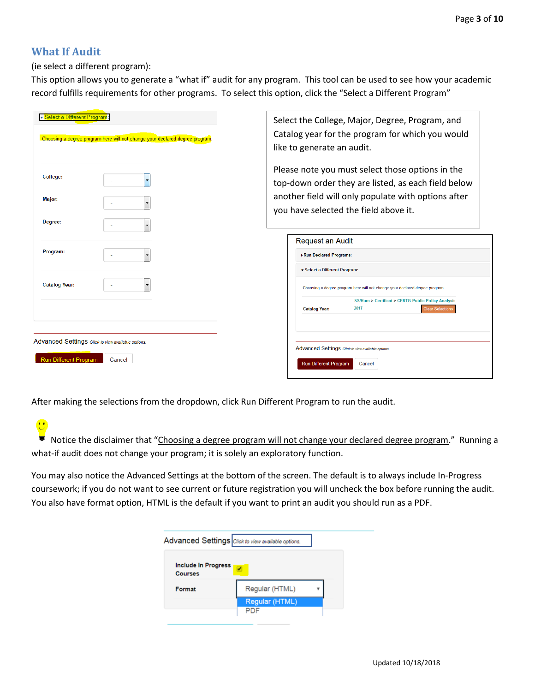# **What If Audit**

 $\bullet$ 

(ie select a different program):

This option allows you to generate a "what if" audit for any program. This tool can be used to see how your academic record fulfills requirements for other programs. To select this option, click the "Select a Different Program"

| <del>▼</del> Select a Different Program: | Choosing a degree program here will not change your declared degree program. | Select the College, Major, Degree, Program, and<br>Catalog year for the program for which you would<br>like to generate an audit. |
|------------------------------------------|------------------------------------------------------------------------------|-----------------------------------------------------------------------------------------------------------------------------------|
| College:                                 | $\blacksquare$                                                               | Please note you must select those options in the<br>top-down order they are listed, as each field below                           |
| Major:                                   | $\overline{\phantom{a}}$                                                     | another field will only populate with options after<br>you have selected the field above it.                                      |
| Degree:                                  | $\overline{\phantom{a}}$                                                     |                                                                                                                                   |
| Program:                                 | $\overline{\phantom{a}}$                                                     | <b>Request an Audit</b><br>Run Declared Programs:                                                                                 |
| <b>Catalog Year:</b>                     | $\overline{\phantom{a}}$                                                     | Select a Different Program:<br>Choosing a degree program here will not change your declared degree program.                       |
|                                          |                                                                              | <b>SS/Hum &gt; Certificat &gt; CERTG Public Policy Analysis</b><br>2017<br><b>Catalog Year:</b><br><b>Clear Selections</b>        |
| <b>Run Different Program</b>             | Advanced Settings Click to view available options.<br>Cancel                 | Advanced Settings Click to view available options.<br><b>Run Different Program</b><br>Cancel                                      |

After making the selections from the dropdown, click Run Different Program to run the audit.

■ Notice the disclaimer that "Choosing a degree program will not change your declared degree program." Running a what-if audit does not change your program; it is solely an exploratory function.

You may also notice the Advanced Settings at the bottom of the screen. The default is to always include In-Progress coursework; if you do not want to see current or future registration you will uncheck the box before running the audit. You also have format option, HTML is the default if you want to print an audit you should run as a PDF.

|                                              | Advanced Settings Click to view available options. |  |
|----------------------------------------------|----------------------------------------------------|--|
| <b>Include In Progress</b><br><b>Courses</b> |                                                    |  |
| Format                                       | Regular (HTML)                                     |  |
|                                              | <b>Regular (HTML)</b><br><b>PDF</b>                |  |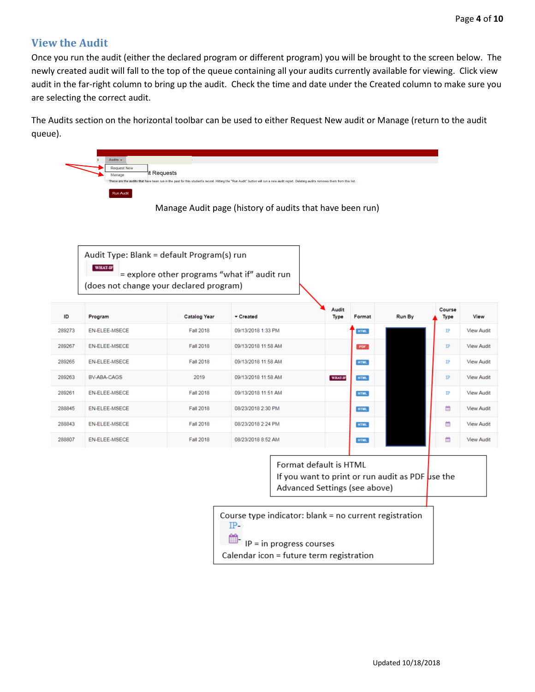# **View the Audit**

Once you run the audit (either the declared program or different program) you will be brought to the screen below. The newly created audit will fall to the top of the queue containing all your audits currently available for viewing. Click view audit in the far-right column to bring up the audit. Check the time and date under the Created column to make sure you are selecting the correct audit.

The Audits section on the horizontal toolbar can be used to either Request New audit or Manage (return to the audit queue).

| Audits $\sim$                                                                                                                                                                           |
|-----------------------------------------------------------------------------------------------------------------------------------------------------------------------------------------|
| <b>Request New</b>                                                                                                                                                                      |
| : Requests<br>Manage                                                                                                                                                                    |
| These are the audits that have been run in the past for this student's record. Hitting the "Run Audit" button will run a new audit report. Deleting audits removes them from this list. |
|                                                                                                                                                                                         |

#### Manage Audit page (history of audits that have been run)

Audit Type: Blank = default Program(s) run

**Run Audit** 

**WHAT-IF** = explore other programs "what if" audit run (does not change your declared program)

| ID     | Program              | <b>Catalog Year</b> | ▼ Created           | Audit<br>Type  | Format      | <b>Run By</b> | Course<br>Type | View              |
|--------|----------------------|---------------------|---------------------|----------------|-------------|---------------|----------------|-------------------|
| 289273 | <b>EN-ELEE-MSECE</b> | Fall 2018           | 09/13/2018 1:33 PM  |                | <b>HTML</b> |               | IP             | <b>View Audit</b> |
| 289267 | EN-ELEE-MSECE        | Fall 2018           | 09/13/2018 11:58 AM |                | PDF         |               | IP             | <b>View Audit</b> |
| 289265 | <b>EN-ELEE-MSECE</b> | <b>Fall 2018</b>    | 09/13/2018 11:58 AM |                | <b>HTML</b> |               | IP             | <b>View Audit</b> |
| 289263 | BV-ABA-CAGS          | 2019                | 09/13/2018 11:58 AM | <b>WHAT-IF</b> | <b>HTML</b> |               | IP             | <b>View Audit</b> |
| 289261 | <b>EN-ELEE-MSECE</b> | Fall 2018           | 09/13/2018 11:51 AM |                | <b>HTML</b> |               | IP             | <b>View Audit</b> |
| 288845 | EN-ELEE-MSECE        | Fall 2018           | 08/23/2018 2:30 PM  |                | <b>HTML</b> |               | 曲              | <b>View Audit</b> |
| 288843 | <b>EN-ELEE-MSECE</b> | Fall 2018           | 08/23/2018 2:24 PM  |                | <b>HTML</b> |               | 曲              | <b>View Audit</b> |
| 288807 | EN-ELEE-MSECE        | Fall 2018           | 08/23/2018 8:52 AM  |                | <b>HTML</b> |               | 曲              | <b>View Audit</b> |

Format default is HTML If you want to print or run audit as PDF  $\mu$ se the Advanced Settings (see above)

Course type indicator: blank = no current registration



 $\mathbb{H}$  IP = in progress courses

Calendar icon = future term registration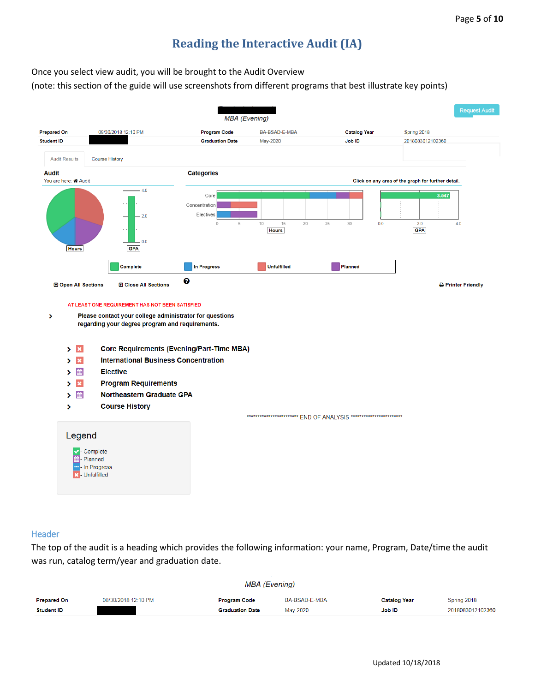# **Reading the Interactive Audit (IA)**

Once you select view audit, you will be brought to the Audit Overview (note: this section of the guide will use screenshots from different programs that best illustrate key points)



#### Header

The top of the audit is a heading which provides the following information: your name, Program, Date/time the audit was run, catalog term/year and graduation date.

| <b>MBA</b> (Evenina) |
|----------------------|
|                      |
|                      |

| <b>Prepared On</b> | 08/30/2018 12:10 PM | Program Code    | BA-BSAD-E-MBA | <b>Catalog Year</b> | Spring 2018      |
|--------------------|---------------------|-----------------|---------------|---------------------|------------------|
| <b>Student ID</b>  |                     | Graduation Date | May-2020      | <b>Job ID</b>       | 2018083012102360 |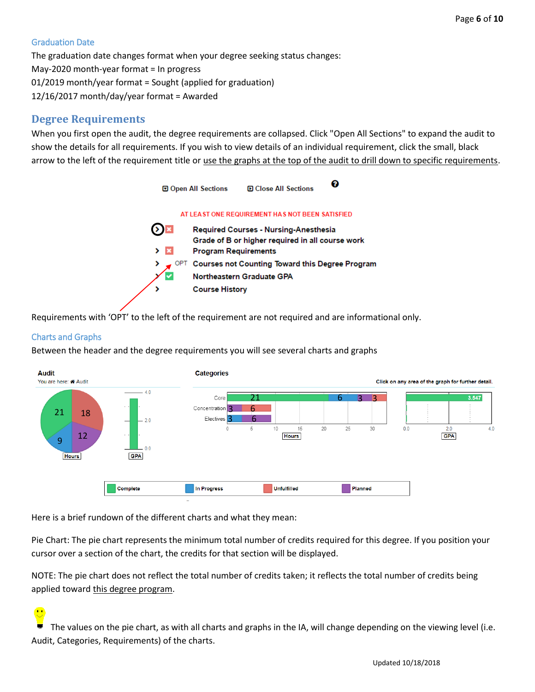#### Graduation Date

The graduation date changes format when your degree seeking status changes: May-2020 month-year format = In progress 01/2019 month/year format = Sought (applied for graduation) 12/16/2017 month/day/year format = Awarded

# **Degree Requirements**

When you first open the audit, the degree requirements are collapsed. Click "Open All Sections" to expand the audit to show the details for all requirements. If you wish to view details of an individual requirement, click the small, black arrow to the left of the requirement title or use the graphs at the top of the audit to drill down to specific requirements.



Requirements with 'OPT' to the left of the requirement are not required and are informational only.

#### Charts and Graphs

 $\bullet$ 

Between the header and the degree requirements you will see several charts and graphs



Here is a brief rundown of the different charts and what they mean:

Pie Chart: The pie chart represents the minimum total number of credits required for this degree. If you position your cursor over a section of the chart, the credits for that section will be displayed.

NOTE: The pie chart does not reflect the total number of credits taken; it reflects the total number of credits being applied toward this degree program.

The values on the pie chart, as with all charts and graphs in the IA, will change depending on the viewing level (i.e. Audit, Categories, Requirements) of the charts.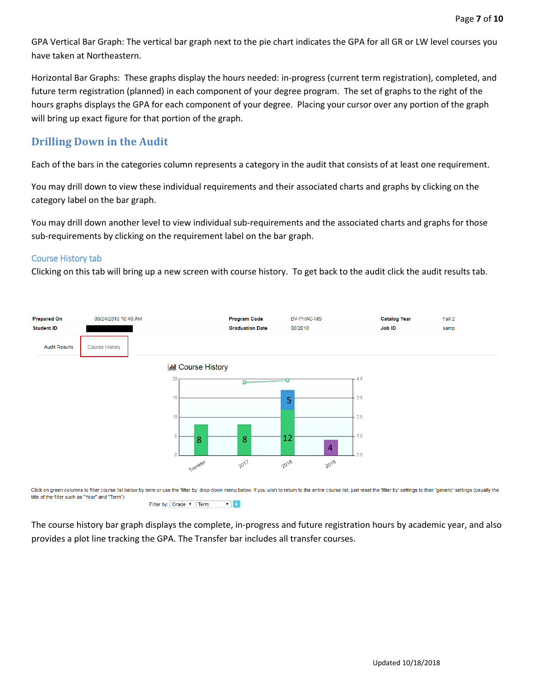GPA Vertical Bar Graph: The vertical bar graph next to the pie chart indicates the GPA for all GR or LW level courses you have taken at Northeastern.

Horizontal Bar Graphs: These graphs display the hours needed: in-progress (current term registration), completed, and future term registration (planned) in each component of your degree program. The set of graphs to the right of the hours graphs displays the GPA for each component of your degree. Placing your cursor over any portion of the graph will bring up exact figure for that portion of the graph.

# **Drilling Down in the Audit**

Each of the bars in the categories column represents a category in the audit that consists of at least one requirement.

You may drill down to view these individual requirements and their associated charts and graphs by clicking on the category label on the bar graph.

You may drill down another level to view individual sub-requirements and the associated charts and graphs for those sub-requirements by clicking on the requirement label on the bar graph.

#### Course History tab

Clicking on this tab will bring up a new screen with course history. To get back to the audit click the audit results tab.



Filter by: Grade v Term  $\mathbf{v}$   $\mathbf{v}$ The course history bar graph displays the complete, in-progress and future registration hours by academic year, and also

provides a plot line tracking the GPA. The Transfer bar includes all transfer courses.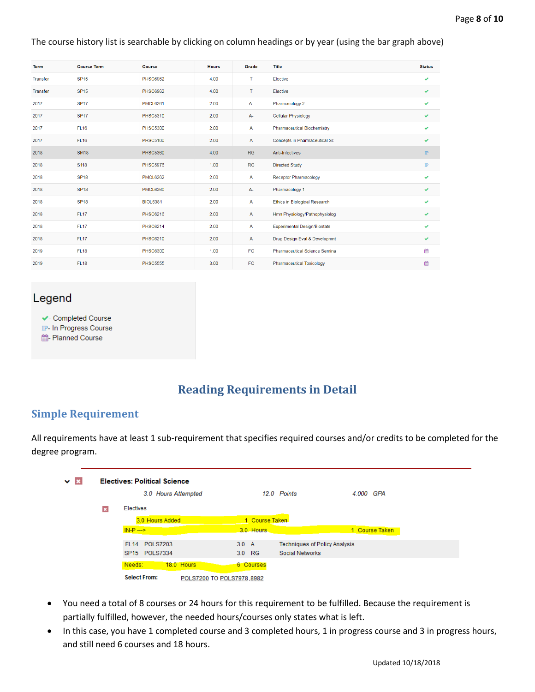#### The course history list is searchable by clicking on column headings or by year (using the bar graph above)

|          |                  | Course          | <b>Hours</b> | Grade     | <b>Title</b>                         | <b>Status</b> |
|----------|------------------|-----------------|--------------|-----------|--------------------------------------|---------------|
| Transfer | <b>SP15</b>      | <b>PHSC6962</b> | 4.00         | т         | Elective                             | $\checkmark$  |
| Transfer | <b>SP15</b>      | <b>PHSC6962</b> | 4.00         | т         | Elective                             | ✔             |
| 2017     | <b>SP17</b>      | <b>PMCL6261</b> | 2.00         | A-        | Pharmacology 2                       | $\checkmark$  |
| 2017     | <b>SP17</b>      | <b>PHSC5310</b> | 2.00         | A-        | <b>Cellular Physiology</b>           | $\checkmark$  |
| 2017     | <b>FL16</b>      | <b>PHSC5300</b> | 2.00         | А         | <b>Pharmaceutical Biochemistry</b>   | $\checkmark$  |
| 2017     | <b>FL16</b>      | <b>PHSC5100</b> | 2.00         | А         | Concepts in Pharmaceutical Sc        | $\checkmark$  |
| 2018     | <b>SM18</b>      | <b>PHSC5360</b> | 4.00         | <b>RG</b> | Anti-Infectives                      | IP            |
| 2018     | S <sub>118</sub> | <b>PHSC5976</b> | 1.00         | <b>RG</b> | <b>Directed Study</b>                | $\rm IP$      |
| 2018     | <b>SP18</b>      | <b>PMCL6262</b> | 2.00         | A         | <b>Receptor Pharmacology</b>         | ✓             |
| 2018     | <b>SP18</b>      | <b>PMCL6260</b> | 2.00         | A-        | Pharmacology 1                       | $\checkmark$  |
| 2018     | <b>SP18</b>      | <b>BIOL6381</b> | 2.00         | A         | <b>Ethics in Biological Research</b> | $\checkmark$  |
| 2018     | <b>FL17</b>      | <b>PHSC6216</b> | 2.00         | А         | Hmn Physiology/Pathophysiolog        | $\checkmark$  |
| 2018     | <b>FL17</b>      | <b>PHSC6214</b> | 2.00         | А         | <b>Experimental Design/Biostats</b>  | $\checkmark$  |
| 2018     | <b>FL17</b>      | <b>PHSC6210</b> | 2.00         | А         | Drug Design Eval & Developmnt        | ✓             |
| 2019     | <b>FL18</b>      | <b>PHSC6300</b> | 1.00         | FC.       | Pharmaceutical Science Semina        | 龠             |
| 2019     | <b>FL18</b>      | <b>PHSC5555</b> | 3.00         | FC        | <b>Pharmaceutical Toxicology</b>     | 篇             |

### Legend

✔- Completed Course

IP- In Progress Course

Planned Course

# **Reading Requirements in Detail**

# **Simple Requirement**

All requirements have at least 1 sub-requirement that specifies required courses and/or credits to be completed for the degree program.

|                | <b>Electives: Political Science</b> |                           |                                      |
|----------------|-------------------------------------|---------------------------|--------------------------------------|
|                | 3.0 Hours Attempted                 | 12.0 Points               | 4.000 GPA                            |
| $\pmb{\times}$ | Electives                           |                           |                                      |
|                | 3.0 Hours Added                     | 1 Course Taken            |                                      |
|                | $IN-P$ $\rightarrow$                | 3.0 Hours                 | 1 Course Taken                       |
|                | FL14 POLS7203                       | $3.0\quad A$              | <b>Techniques of Policy Analysis</b> |
|                | SP15 POLS7334                       | 3.0 RG<br>Social Networks |                                      |
|                | 18.0 Hours<br>Needs:                | 6 Courses                 |                                      |
|                | <b>Select From:</b>                 | POLS7200 TO POLS7978,8982 |                                      |

- You need a total of 8 courses or 24 hours for this requirement to be fulfilled. Because the requirement is partially fulfilled, however, the needed hours/courses only states what is left.
- In this case, you have 1 completed course and 3 completed hours, 1 in progress course and 3 in progress hours, and still need 6 courses and 18 hours.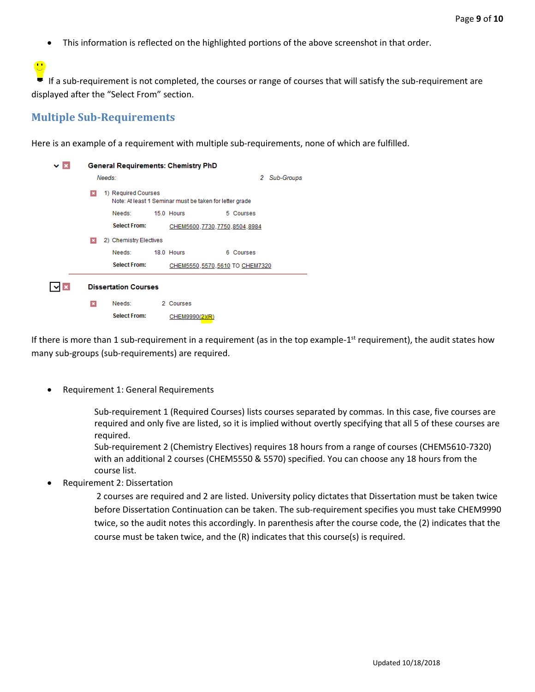This information is reflected on the highlighted portions of the above screenshot in that order.

 $\mathbf{r}$ 

If a sub-requirement is not completed, the courses or range of courses that will satisfy the sub-requirement are displayed after the "Select From" section.

# **Multiple Sub-Requirements**

Here is an example of a requirement with multiple sub-requirements, none of which are fulfilled.



If there is more than 1 sub-requirement in a requirement (as in the top example-1<sup>st</sup> requirement), the audit states how many sub-groups (sub-requirements) are required.

• Requirement 1: General Requirements

Sub-requirement 1 (Required Courses) lists courses separated by commas. In this case, five courses are required and only five are listed, so it is implied without overtly specifying that all 5 of these courses are required.

Sub-requirement 2 (Chemistry Electives) requires 18 hours from a range of courses (CHEM5610-7320) with an additional 2 courses (CHEM5550 & 5570) specified. You can choose any 18 hours from the course list.

• Requirement 2: Dissertation

2 courses are required and 2 are listed. University policy dictates that Dissertation must be taken twice before Dissertation Continuation can be taken. The sub-requirement specifies you must take CHEM9990 twice, so the audit notes this accordingly. In parenthesis after the course code, the (2) indicates that the course must be taken twice, and the (R) indicates that this course(s) is required.